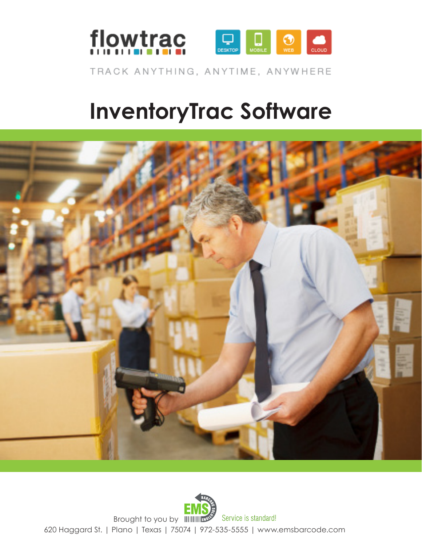



TRACK ANYTHING, ANYTIME, ANYWHERE

# **InventoryTrac Software**



620 Haggard St. | Plano | Texas | 75074 | 972-535-5555 | www.emsbarcode.com Brought to you by **ILLUARY Service is standard!**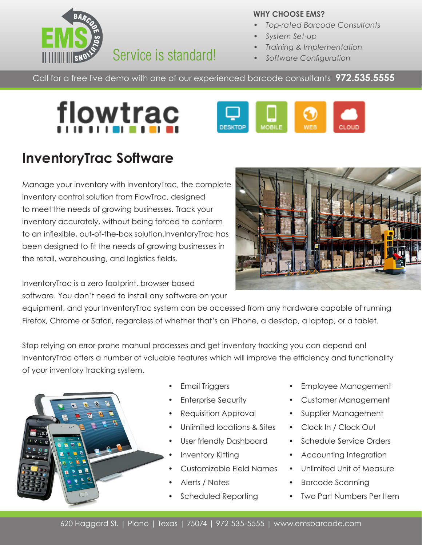

#### **WHY CHOOSE EMS?**

- *• Top-rated Barcode Consultants*
- *• System Set-up*
- *• Training & Implementation*
- *• Software Configuration*

Call for a free live demo with one of our experienced barcode consultants **972.535.5555**





## **InventoryTrac Software**

Manage your inventory with InventoryTrac, the complete inventory control solution from FlowTrac, designed to meet the needs of growing businesses. Track your inventory accurately, without being forced to conform to an inflexible, out-of-the-box solution.InventoryTrac has been designed to fit the needs of growing businesses in the retail, warehousing, and logistics fields.

InventoryTrac is a zero footprint, browser based software. You don't need to install any software on your

equipment, and your InventoryTrac system can be accessed from any hardware capable of running Firefox, Chrome or Safari, regardless of whether that's an iPhone, a desktop, a laptop, or a tablet.

Stop relying on error-prone manual processes and get inventory tracking you can depend on! InventoryTrac offers a number of valuable features which will improve the efficiency and functionality of your inventory tracking system.



- Email Triggers
- **Enterprise Security**
- Requisition Approval
- Unlimited locations & Sites
- User friendly Dashboard
- Inventory Kitting
- Customizable Field Names
- Alerts / Notes
- Scheduled Reporting
- Employee Management
- Customer Management
- Supplier Management
- Clock In / Clock Out
- Schedule Service Orders
- Accounting Integration
- Unlimited Unit of Measure
- Barcode Scanning
- **Two Part Numbers Per Item**